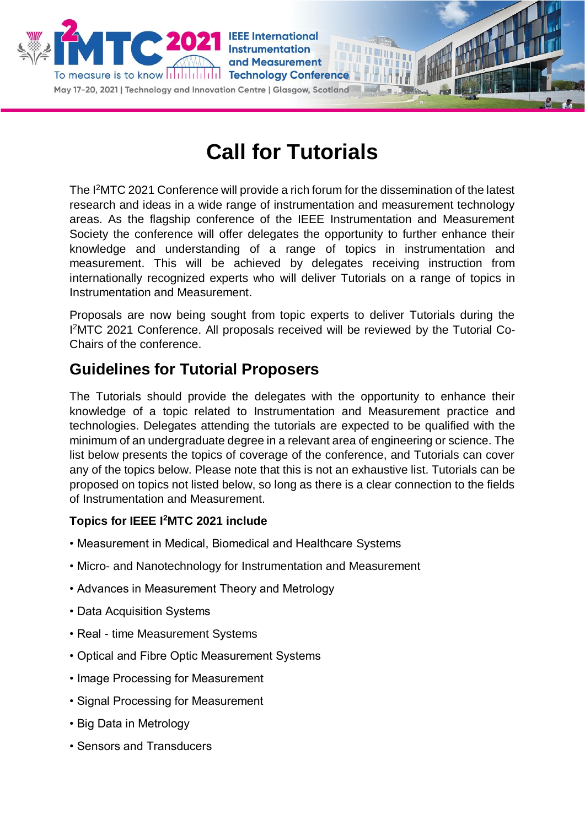

# **Call for Tutorials**

The I<sup>2</sup>MTC 2021 Conference will provide a rich forum for the dissemination of the latest research and ideas in a wide range of instrumentation and measurement technology areas. As the flagship conference of the IEEE Instrumentation and Measurement Society the conference will offer delegates the opportunity to further enhance their knowledge and understanding of a range of topics in instrumentation and measurement. This will be achieved by delegates receiving instruction from internationally recognized experts who will deliver Tutorials on a range of topics in Instrumentation and Measurement.

Proposals are now being sought from topic experts to deliver Tutorials during the I 2MTC 2021 Conference. All proposals received will be reviewed by the Tutorial Co-Chairs of the conference.

### **Guidelines for Tutorial Proposers**

The Tutorials should provide the delegates with the opportunity to enhance their knowledge of a topic related to Instrumentation and Measurement practice and technologies. Delegates attending the tutorials are expected to be qualified with the minimum of an undergraduate degree in a relevant area of engineering or science. The list below presents the topics of coverage of the conference, and Tutorials can cover any of the topics below. Please note that this is not an exhaustive list. Tutorials can be proposed on topics not listed below, so long as there is a clear connection to the fields of Instrumentation and Measurement.

#### **Topics for IEEE I<sup>2</sup>MTC 2021 include**

- Measurement in Medical, Biomedical and Healthcare Systems
- Micro- and Nanotechnology for Instrumentation and Measurement
- Advances in Measurement Theory and Metrology
- Data Acquisition Systems
- Real time Measurement Systems
- Optical and Fibre Optic Measurement Systems
- Image Processing for Measurement
- Signal Processing for Measurement
- Big Data in Metrology
- Sensors and Transducers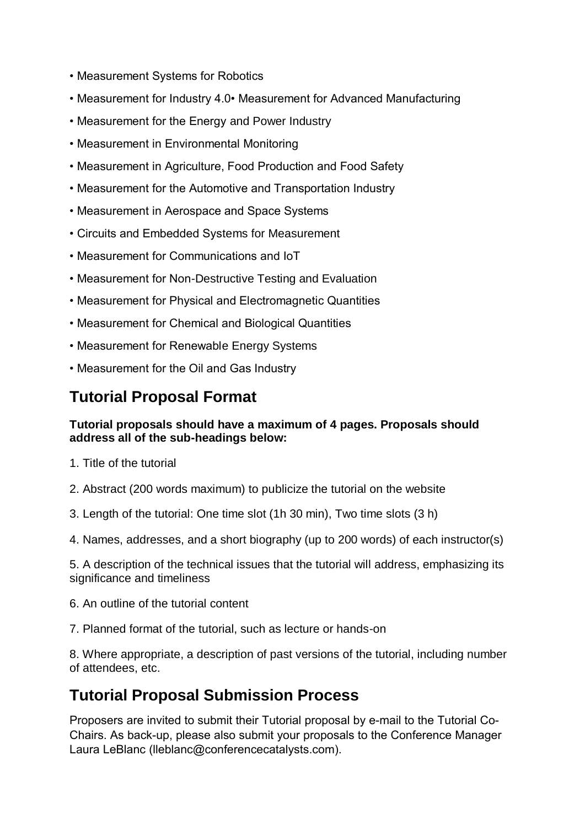- Measurement Systems for Robotics
- Measurement for Industry 4.0• Measurement for Advanced Manufacturing
- Measurement for the Energy and Power Industry
- Measurement in Environmental Monitoring
- Measurement in Agriculture, Food Production and Food Safety
- Measurement for the Automotive and Transportation Industry
- Measurement in Aerospace and Space Systems
- Circuits and Embedded Systems for Measurement
- Measurement for Communications and IoT
- Measurement for Non-Destructive Testing and Evaluation
- Measurement for Physical and Electromagnetic Quantities
- Measurement for Chemical and Biological Quantities
- Measurement for Renewable Energy Systems
- Measurement for the Oil and Gas Industry

### **Tutorial Proposal Format**

#### **Tutorial proposals should have a maximum of 4 pages. Proposals should address all of the sub-headings below:**

- 1. Title of the tutorial
- 2. Abstract (200 words maximum) to publicize the tutorial on the website
- 3. Length of the tutorial: One time slot (1h 30 min), Two time slots (3 h)
- 4. Names, addresses, and a short biography (up to 200 words) of each instructor(s)

5. A description of the technical issues that the tutorial will address, emphasizing its significance and timeliness

- 6. An outline of the tutorial content
- 7. Planned format of the tutorial, such as lecture or hands-on

8. Where appropriate, a description of past versions of the tutorial, including number of attendees, etc.

### **Tutorial Proposal Submission Process**

Proposers are invited to submit their Tutorial proposal by e-mail to the Tutorial Co-Chairs. As back-up, please also submit your proposals to the Conference Manager Laura LeBlanc (lleblanc@conferencecatalysts.com).